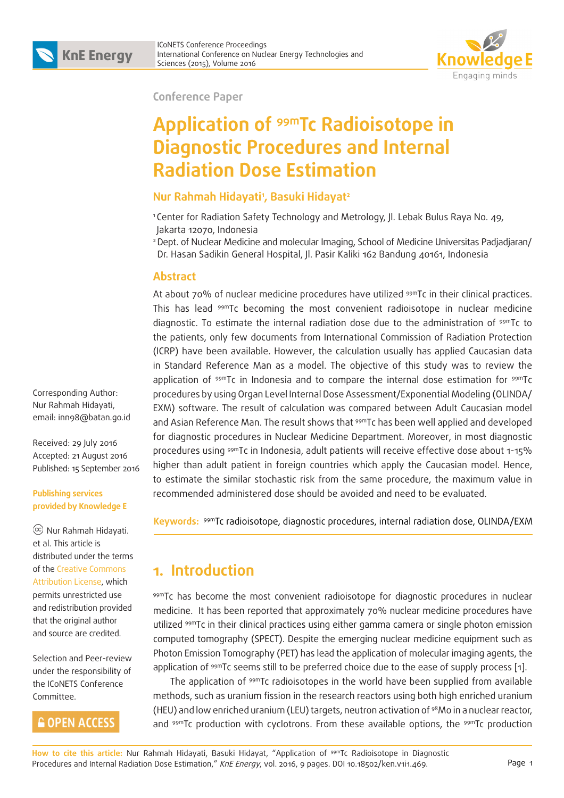

**Conference Paper**

# **Application of 99mTc Radioisotope in Diagnostic Procedures and Internal Radiation Dose Estimation**

### **Nur Rahmah Hidayati1 , Basuki Hidayat2**

<sup>1</sup> Center for Radiation Safety Technology and Metrology, Jl. Lebak Bulus Raya No. 49, Jakarta 12070, Indonesia

2 Dept. of Nuclear Medicine and molecular Imaging, School of Medicine Universitas Padjadjaran/ Dr. Hasan Sadikin General Hospital, Jl. Pasir Kaliki 162 Bandung 40161, Indonesia

#### **Abstract**

At about 70% of nuclear medicine procedures have utilized <sup>99m</sup>Tc in their clinical practices. This has lead 99mTc becoming the most convenient radioisotope in nuclear medicine diagnostic. To estimate the internal radiation dose due to the administration of 99mTc to the patients, only few documents from International Commission of Radiation Protection (ICRP) have been available. However, the calculation usually has applied Caucasian data in Standard Reference Man as a model. The objective of this study was to review the application of <sup>99m</sup>Tc in Indonesia and to compare the internal dose estimation for <sup>99m</sup>Tc procedures by using Organ Level Internal Dose Assessment/Exponential Modeling (OLINDA/ EXM) software. The result of calculation was compared between Adult Caucasian model and Asian Reference Man. The result shows that <sup>99m</sup>Tc has been well applied and developed for diagnostic procedures in Nuclear Medicine Department. Moreover, in most diagnostic procedures using 99mTc in Indonesia, adult patients will receive effective dose about 1-15% higher than adult patient in foreign countries which apply the Caucasian model. Hence, to estimate the similar stochastic risk from the same procedure, the maximum value in recommended administered dose should be avoided and need to be evaluated.

**Keywords:** 99mTc radioisotope, diagnostic procedures, internal radiation dose, OLINDA/EXM

# **1. Introduction**

99mTc has become the most convenient radioisotope for diagnostic procedures in nuclear medicine. It has been reported that approximately 70% nuclear medicine procedures have utilized 99mTc in their clinical practices using either gamma camera or single photon emission computed tomography (SPECT). Despite the emerging nuclear medicine equipment such as Photon Emission Tomography (PET) has lead the application of molecular imaging agents, the application of <sup>99m</sup>Tc seems still to be preferred choice due to the ease of supply process [1].

The application of 99mTc radioisotopes in the world have been supplied from available methods, such as uranium fission in the research reactors using both high enriched uranium (HEU) and low enriched uranium (LEU) targets, neutron activation of 98Mo in a nuclear reactor, and <sup>99m</sup>Tc production with cyclotrons. From these available options, the <sup>99m</sup>Tc production

Corresponding Author: Nur Rahmah Hidayati, email: inn98@batan.go.id

Received: 29 July 2016 Accepted: 21 August 2016 Published: 15 September 2016

#### **Publishing services provided by Knowledge E**

 Nur Rahmah Hidayati. et al. This article is distributed under the terms of the Creative Commons Attribution License, which permits unrestricted use and redistribution provided that the original author and source are credited.

Selection and Peer-review under the responsibility of the ICoNETS Conference Committee.

### **GOPEN ACCESS**

**How to cite this article:** Nur Rahmah Hidayati, Basuki Hidayat, "Application of 99mTc Radioisotope in Diagnostic Procedures and Internal Radiation Dose Estimation," KnE Energy, vol. 2016, 9 pages. DOI 10.18502/ken.v1i1.469.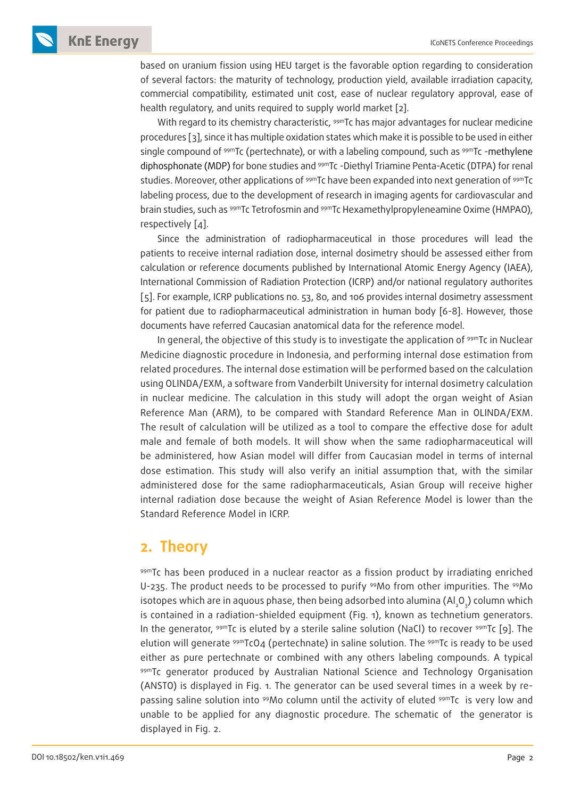**KnE Energy ICONETS Conference Proceedings** 

based on uranium fission using HEU target is the favorable option regarding to consideration of several factors: the maturity of technology, production yield, available irradiation capacity, commercial compatibility, estimated unit cost, ease of nuclear regulatory approval, ease of health regulatory, and units required to supply world market [2].

With regard to its chemistry characteristic, <sup>99m</sup>Tc has major advantages for nuclear medicine procedures [3], since it has multiple oxidation states which make it is possible to be used in either single compound of <sup>99m</sup>Tc (pertechnate), or with a labeling compound, such as <sup>99m</sup>Tc -methylene diphosphonate (MDP) for bone studies and <sup>99m</sup>Tc -Diethyl Triamine Penta-Acetic (DTPA) for renal studies. Moreover, other applications of <sup>99m</sup>Tc have been expanded into next generation of <sup>99m</sup>Tc labeling process, due to the development of research in imaging agents for cardiovascular and brain studies, such as 99mTc Tetrofosmin and 99mTc Hexamethylpropyleneamine Oxime (HMPAO), respectively [4].

Since the administration of radiopharmaceutical in those procedures will lead the patients to receive internal radiation dose, internal dosimetry should be assessed either from calculation or reference documents published by International Atomic Energy Agency (IAEA), International Commission of Radiation Protection (ICRP) and/or national regulatory authorites [5]. For example, ICRP publications no. 53, 80, and 106 provides internal dosimetry assessment for patient due to radiopharmaceutical administration in human body [6-8]. However, those documents have referred Caucasian anatomical data for the reference model.

In general, the objective of this study is to investigate the application of <sup>99m</sup>Tc in Nuclear Medicine diagnostic procedure in Indonesia, and performing internal dose estimation from related procedures. The internal dose estimation will be performed based on the calculation using OLINDA/EXM, a software from Vanderbilt University for internal dosimetry calculation in nuclear medicine. The calculation in this study will adopt the organ weight of Asian Reference Man (ARM), to be compared with Standard Reference Man in OLINDA/EXM. The result of calculation will be utilized as a tool to compare the effective dose for adult male and female of both models. It will show when the same radiopharmaceutical will be administered, how Asian model will differ from Caucasian model in terms of internal dose estimation. This study will also verify an initial assumption that, with the similar administered dose for the same radiopharmaceuticals, Asian Group will receive higher internal radiation dose because the weight of Asian Reference Model is lower than the Standard Reference Model in ICRP.

### **2. Theory**

99mTc has been produced in a nuclear reactor as a fission product by irradiating enriched U-235. The product needs to be processed to purify 99Mo from other impurities. The 99Mo isotopes which are in aquous phase, then being adsorbed into alumina (Al $_2$ O $_{\tiny 3}$ ) column which is contained in a radiation-shielded equipment (Fig. 1), known as technetium generators. In the generator,  $99mTc$  is eluted by a sterile saline solution (NaCl) to recover  $99mTc$  [9]. The elution will generate 99mTcO4 (pertechnate) in saline solution. The 99mTc is ready to be used either as pure pertechnate or combined with any others labeling compounds. A typical 99mTc generator produced by Australian National Science and Technology Organisation (ANSTO) is displayed in Fig. 1. The generator can be used several times in a week by repassing saline solution into 99Mo column until the activity of eluted 99mTc is very low and unable to be applied for any diagnostic procedure. The schematic of the generator is displayed in Fig. 2.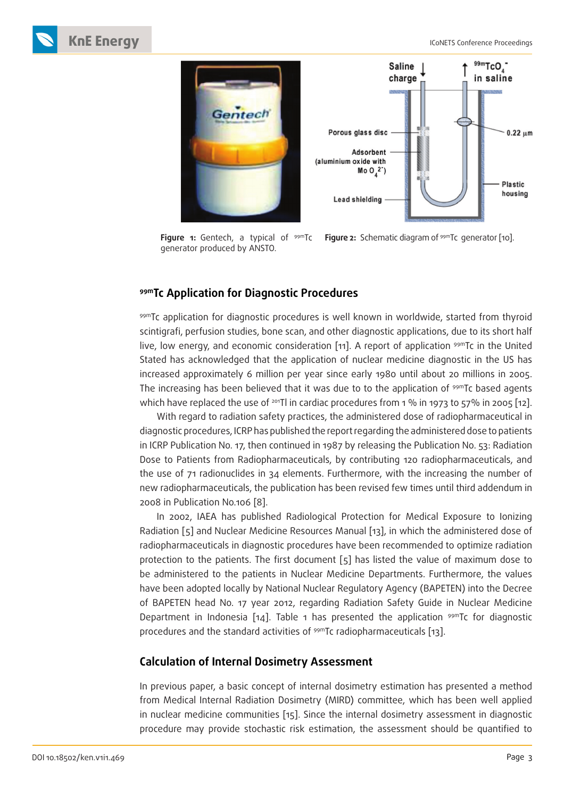

**Figure 1:** Gentech, a typical of <sup>99m</sup>Tc **Figure 2:** Schematic diagram of <sup>99m</sup>Tc generator [10]. generator produced by ANSTO.

### **99mTc Application for Diagnostic Procedures**

99mTc application for diagnostic procedures is well known in worldwide, started from thyroid scintigrafi, perfusion studies, bone scan, and other diagnostic applications, due to its short half live, low energy, and economic consideration [11]. A report of application  $99mTc$  in the United Stated has acknowledged that the application of nuclear medicine diagnostic in the US has increased approximately 6 million per year since early 1980 until about 20 millions in 2005. The increasing has been believed that it was due to to the application of <sup>99m</sup>Tc based agents which have replaced the use of <sup>201</sup>Tl in cardiac procedures from 1 % in 1973 to 57% in 2005 [12].

With regard to radiation safety practices, the administered dose of radiopharmaceutical in diagnostic procedures, ICRP has published the report regarding the administered dose to patients in ICRP Publication No. 17, then continued in 1987 by releasing the Publication No. 53: Radiation Dose to Patients from Radiopharmaceuticals, by contributing 120 radiopharmaceuticals, and the use of 71 radionuclides in 34 elements. Furthermore, with the increasing the number of new radiopharmaceuticals, the publication has been revised few times until third addendum in 2008 in Publication No.106 [8].

In 2002, IAEA has published Radiological Protection for Medical Exposure to Ionizing Radiation [5] and Nuclear Medicine Resources Manual [13], in which the administered dose of radiopharmaceuticals in diagnostic procedures have been recommended to optimize radiation protection to the patients. The first document [5] has listed the value of maximum dose to be administered to the patients in Nuclear Medicine Departments. Furthermore, the values have been adopted locally by National Nuclear Regulatory Agency (BAPETEN) into the Decree of BAPETEN head No. 17 year 2012, regarding Radiation Safety Guide in Nuclear Medicine Department in Indonesia [14]. Table 1 has presented the application  $99mTc$  for diagnostic procedures and the standard activities of <sup>99m</sup>Tc radiopharmaceuticals [13].

### **Calculation of Internal Dosimetry Assessment**

In previous paper, a basic concept of internal dosimetry estimation has presented a method from Medical Internal Radiation Dosimetry (MIRD) committee, which has been well applied in nuclear medicine communities [15]. Since the internal dosimetry assessment in diagnostic procedure may provide stochastic risk estimation, the assessment should be quantified to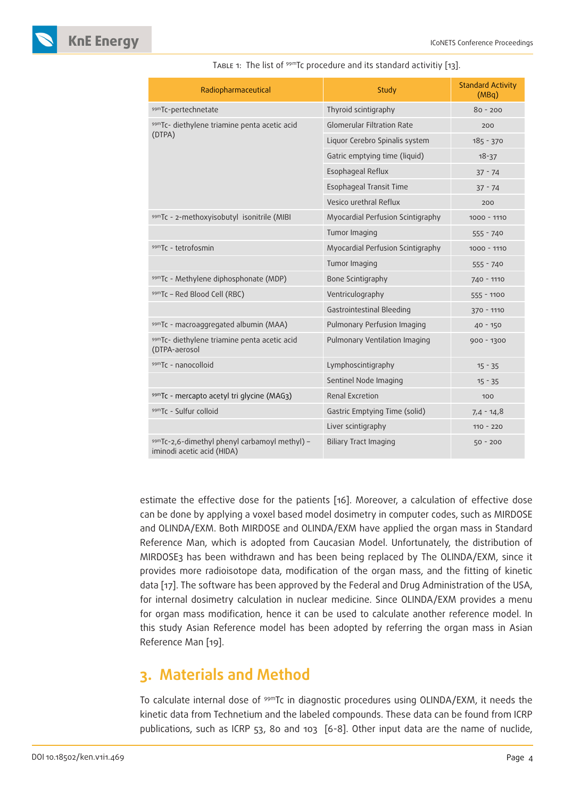

| Radiopharmaceutical                                                         | Study                             | <b>Standard Activity</b><br>(MBq) |
|-----------------------------------------------------------------------------|-----------------------------------|-----------------------------------|
| 99mTc-pertechnetate                                                         | Thyroid scintigraphy              | $80 - 200$                        |
| 99mTc- diethylene triamine penta acetic acid                                | <b>Glomerular Filtration Rate</b> | 200                               |
| (DTPA)                                                                      | Liquor Cerebro Spinalis system    | 185 - 370                         |
|                                                                             | Gatric emptying time (liquid)     | $18 - 37$                         |
|                                                                             | Esophageal Reflux                 | $37 - 74$                         |
|                                                                             | Esophageal Transit Time           | $37 - 74$                         |
|                                                                             | Vesico urethral Reflux            | 200                               |
| 99mTc - 2-methoxyisobutyl isonitrile (MIBI                                  | Myocardial Perfusion Scintigraphy | $1000 - 1110$                     |
|                                                                             | Tumor Imaging                     | $555 - 740$                       |
| 99mTc - tetrofosmin                                                         | Myocardial Perfusion Scintigraphy | $1000 - 1110$                     |
|                                                                             | Tumor Imaging                     | $555 - 740$                       |
| 99mTc - Methylene diphosphonate (MDP)                                       | Bone Scintigraphy                 | 740 - 1110                        |
| 99mTc - Red Blood Cell (RBC)                                                | Ventriculography                  | $555 - 1100$                      |
|                                                                             | Gastrointestinal Bleeding         | 370 - 1110                        |
| 99mTc - macroaggregated albumin (MAA)                                       | Pulmonary Perfusion Imaging       | $40 - 150$                        |
| 99mTc- diethylene triamine penta acetic acid<br>(DTPA-aerosol               | Pulmonary Ventilation Imaging     | 900 - 1300                        |
| 99mTc - nanocolloid                                                         | Lymphoscintigraphy                | $15 - 35$                         |
|                                                                             | Sentinel Node Imaging             | $15 - 35$                         |
| 99mTc - mercapto acetyl tri glycine (MAG3)                                  | Renal Excretion                   | 100                               |
| 99mTc - Sulfur colloid                                                      | Gastric Emptying Time (solid)     | $7,4 - 14,8$                      |
|                                                                             | Liver scintigraphy                | $110 - 220$                       |
| 99mTc-2,6-dimethyl phenyl carbamoyl methyl) -<br>iminodi acetic acid (HIDA) | <b>Biliary Tract Imaging</b>      | $50 - 200$                        |

TABLE 1: The list of <sup>99m</sup>Tc procedure and its standard activitiy [13].

estimate the effective dose for the patients [16]. Moreover, a calculation of effective dose can be done by applying a voxel based model dosimetry in computer codes, such as MIRDOSE and OLINDA/EXM. Both MIRDOSE and OLINDA/EXM have applied the organ mass in Standard Reference Man, which is adopted from Caucasian Model. Unfortunately, the distribution of MIRDOSE3 has been withdrawn and has been being replaced by The OLINDA/EXM, since it provides more radioisotope data, modification of the organ mass, and the fitting of kinetic data [17]. The software has been approved by the Federal and Drug Administration of the USA, for internal dosimetry calculation in nuclear medicine. Since OLINDA/EXM provides a menu for organ mass modification, hence it can be used to calculate another reference model. In this study Asian Reference model has been adopted by referring the organ mass in Asian Reference Man [19].

# **3. Materials and Method**

To calculate internal dose of <sup>99m</sup>Tc in diagnostic procedures using OLINDA/EXM, it needs the kinetic data from Technetium and the labeled compounds. These data can be found from ICRP publications, such as ICRP 53, 80 and 103 [6-8]. Other input data are the name of nuclide,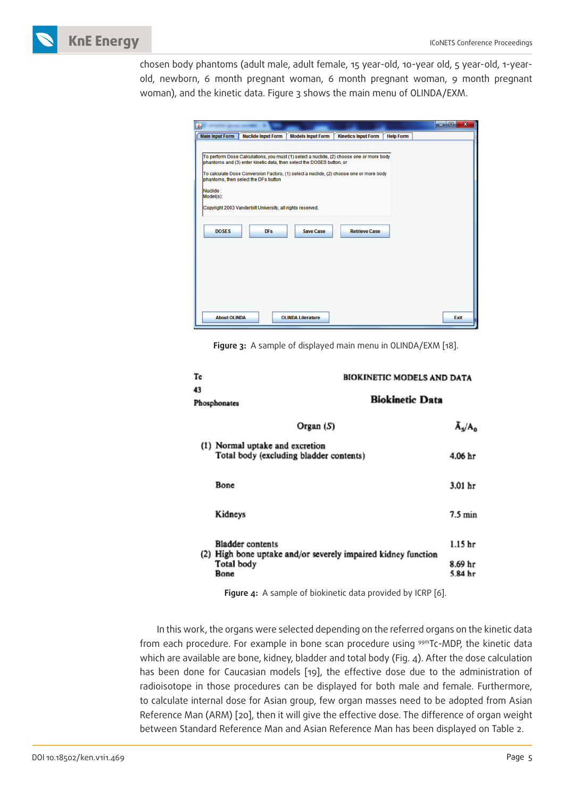

chosen body phantoms (adult male, adult female, 15 year-old, 10-year old, 5 year-old, 1-yearold, newborn, 6 month pregnant woman, 6 month pregnant woman, 9 month pregnant woman), and the kinetic data. Figure 3 shows the main menu of OLINDA/EXM.

| 图                                     |                                                                                                                                                                                           |                          |                                                                                                                                                                                                             |                  | $\overline{\mathbf{x}}$<br>الهاردي |
|---------------------------------------|-------------------------------------------------------------------------------------------------------------------------------------------------------------------------------------------|--------------------------|-------------------------------------------------------------------------------------------------------------------------------------------------------------------------------------------------------------|------------------|------------------------------------|
| <b>Main Input Form</b>                | <b>Nuclide Input Form</b>                                                                                                                                                                 | <b>Models Input Form</b> | <b>Kinetics Input Form</b>                                                                                                                                                                                  | <b>Help Form</b> |                                    |
| Nuclide:<br>Model(s):<br><b>DOSES</b> | phantoms and (3) enter kinetic data, then select the DOSES button, or<br>phantoms, then select the DFs button<br>Copyright 2003 Vanderbilt University, all rights reserved.<br><b>DFs</b> | <b>Save Case</b>         | To perform Dose Calculations, you must (1) select a nuclide, (2) choose one or more body<br>To calculate Dose Conversion Factors, (1) select a nuclide, (2) choose one or more body<br><b>Retrieve Case</b> |                  |                                    |
| <b>About OLINDA</b>                   |                                                                                                                                                                                           | <b>OLINDA Literature</b> |                                                                                                                                                                                                             |                  | <b>Exit</b>                        |

**Figure 3:** A sample of displayed main menu in OLINDA/EXM [18].

| Тc                                                                                                                    |                                                                            | BIOKINETIC MODELS AND DATA |                      |  |
|-----------------------------------------------------------------------------------------------------------------------|----------------------------------------------------------------------------|----------------------------|----------------------|--|
| 43<br>Phosphonates                                                                                                    |                                                                            | <b>Biokinetic Data</b>     |                      |  |
|                                                                                                                       | Organ $(S)$                                                                |                            | $\overline{A}_s/A_0$ |  |
|                                                                                                                       | (1) Normal uptake and excretion<br>Total body (excluding bladder contents) |                            | 4.06 hr              |  |
|                                                                                                                       | Bone                                                                       |                            | 3.01 <sub>hr</sub>   |  |
|                                                                                                                       | Kidneys                                                                    |                            | $7.5 \text{ min}$    |  |
| <b>Bladder</b> contents<br>(2) High bone uptake and/or severely impaired kidney function<br><b>Total body</b><br>Bone |                                                                            |                            | 1.15 <sub>hr</sub>   |  |
|                                                                                                                       |                                                                            | 8.69 hr<br>5.84 hr         |                      |  |

**Figure 4:** A sample of biokinetic data provided by ICRP [6].

In this work, the organs were selected depending on the referred organs on the kinetic data from each procedure. For example in bone scan procedure using 99mTc-MDP, the kinetic data which are available are bone, kidney, bladder and total body (Fig. 4). After the dose calculation has been done for Caucasian models [19], the effective dose due to the administration of radioisotope in those procedures can be displayed for both male and female. Furthermore, to calculate internal dose for Asian group, few organ masses need to be adopted from Asian Reference Man (ARM) [20], then it will give the effective dose. The difference of organ weight between Standard Reference Man and Asian Reference Man has been displayed on Table 2.